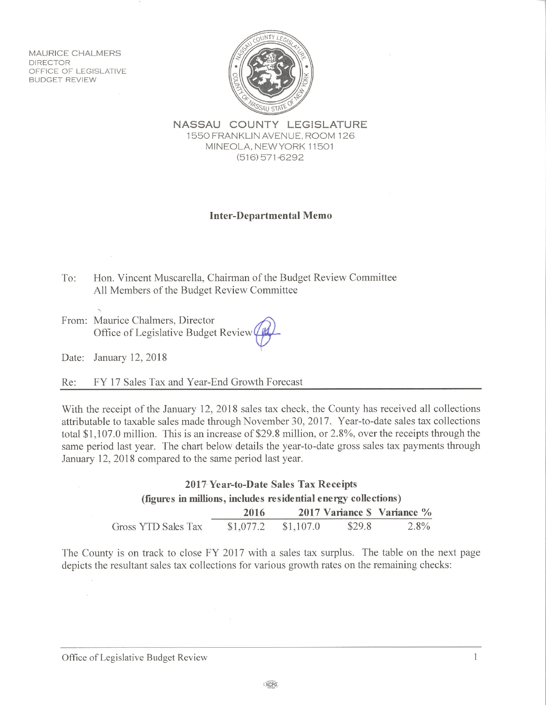**MAURICE CHALMERS DIRECTOR** OFFICE OF LEGISLATIVE **BUDGET REVIEW** 



NASSAU COUNTY LEGISLATURE 1550 FRANKLIN AVENUE, ROOM 126 MINEOLA, NEW YORK 11501  $(516) 571 - 6292$ 

## **Inter-Departmental Memo**

Hon. Vincent Muscarella, Chairman of the Budget Review Committee To: All Members of the Budget Review Committee

From: Maurice Chalmers, Director Office of Legislative Budget Review

Date: January 12, 2018

FY 17 Sales Tax and Year-End Growth Forecast Re:

With the receipt of the January 12, 2018 sales tax check, the County has received all collections attributable to taxable sales made through November 30, 2017. Year-to-date sales tax collections total \$1,107.0 million. This is an increase of \$29.8 million, or 2.8%, over the receipts through the same period last year. The chart below details the year-to-date gross sales tax payments through January 12, 2018 compared to the same period last year.

## 2017 Year-to-Date Sales Tax Receipts (figures in millions, includes residential energy collections)  $2010$ 2017 Variance & Variance %

|                     | 2010 |                       |        | $201/$ variance $3/$ variance $\sqrt{6}$ |
|---------------------|------|-----------------------|--------|------------------------------------------|
| Gross YTD Sales Tax |      | $$1,077.2$ $$1,107.0$ | \$29.8 | 2.8%                                     |

The County is on track to close FY 2017 with a sales tax surplus. The table on the next page depicts the resultant sales tax collections for various growth rates on the remaining checks:

 $\mathbf{1}$